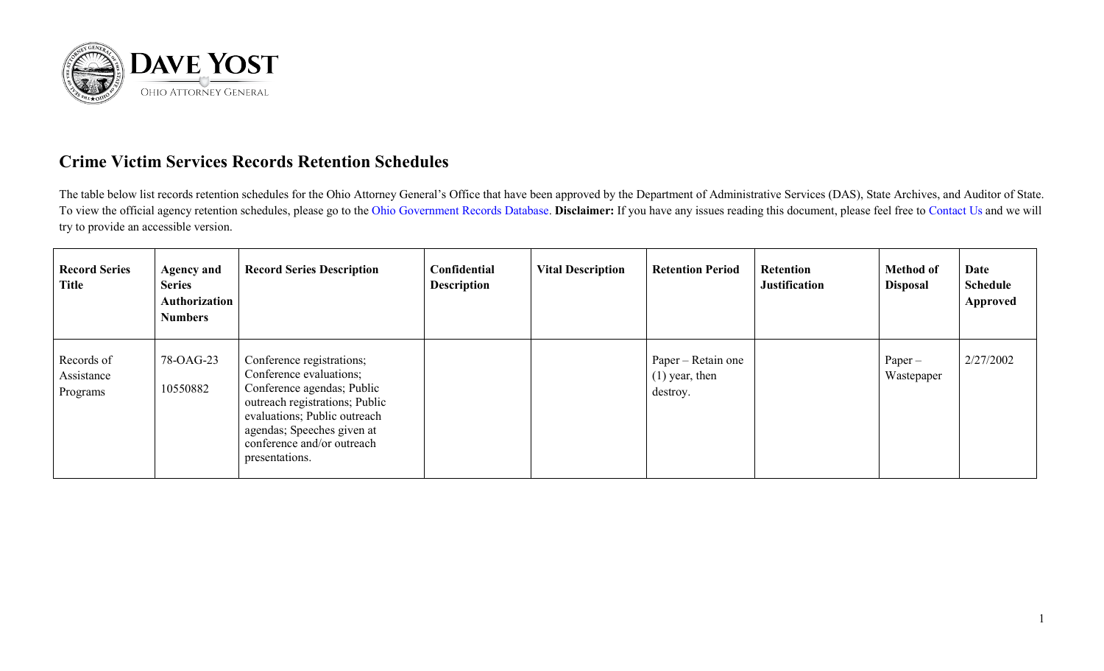

## **Crime Victim Services Records Retention Schedules**

The table below list records retention schedules for the Ohio Attorney General's Office that have been approved by the Department of Administrative Services (DAS), State Archives, and Auditor of State. To view the official agency retention schedules, please go to the [Ohio Government Records Database.](https://apps.das.ohio.gov/RIMS/GeneralSchedule) **Disclaimer:** If you have any issues reading this document, please feel free to [Contact Us](https://www.ohioattorneygeneral.gov/About-AG/Contact) and we will try to provide an accessible version.

| <b>Record Series</b><br><b>Title</b> | <b>Agency and</b><br><b>Series</b><br>Authorization<br><b>Numbers</b> | <b>Record Series Description</b>                                                                                                                                                                                                   | Confidential<br><b>Description</b> | <b>Vital Description</b> | <b>Retention Period</b>                            | <b>Retention</b><br><b>Justification</b> | <b>Method of</b><br><b>Disposal</b> | Date<br><b>Schedule</b><br><b>Approved</b> |
|--------------------------------------|-----------------------------------------------------------------------|------------------------------------------------------------------------------------------------------------------------------------------------------------------------------------------------------------------------------------|------------------------------------|--------------------------|----------------------------------------------------|------------------------------------------|-------------------------------------|--------------------------------------------|
| Records of<br>Assistance<br>Programs | 78-OAG-23<br>10550882                                                 | Conference registrations;<br>Conference evaluations;<br>Conference agendas; Public<br>outreach registrations; Public<br>evaluations; Public outreach<br>agendas; Speeches given at<br>conference and/or outreach<br>presentations. |                                    |                          | Paper – Retain one<br>$(1)$ year, then<br>destroy. |                                          | $Paper -$<br>Wastepaper             | 2/27/2002                                  |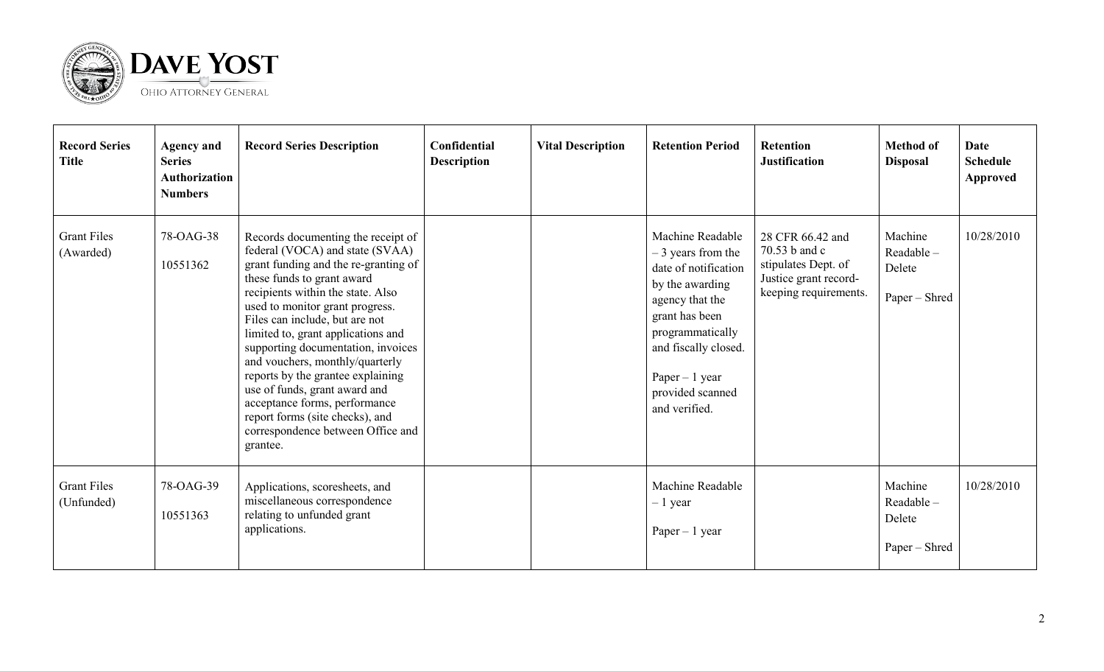

| <b>Record Series</b><br><b>Title</b> | <b>Agency and</b><br><b>Series</b><br><b>Authorization</b><br><b>Numbers</b> | <b>Record Series Description</b>                                                                                                                                                                                                                                                                                                                                                                                                                                                                                                                                | Confidential<br><b>Description</b> | <b>Vital Description</b> | <b>Retention Period</b>                                                                                                                                                                                                     | <b>Retention</b><br><b>Justification</b>                                                                   | <b>Method of</b><br><b>Disposal</b>             | Date<br><b>Schedule</b><br>Approved |
|--------------------------------------|------------------------------------------------------------------------------|-----------------------------------------------------------------------------------------------------------------------------------------------------------------------------------------------------------------------------------------------------------------------------------------------------------------------------------------------------------------------------------------------------------------------------------------------------------------------------------------------------------------------------------------------------------------|------------------------------------|--------------------------|-----------------------------------------------------------------------------------------------------------------------------------------------------------------------------------------------------------------------------|------------------------------------------------------------------------------------------------------------|-------------------------------------------------|-------------------------------------|
| <b>Grant Files</b><br>(Awarded)      | 78-OAG-38<br>10551362                                                        | Records documenting the receipt of<br>federal (VOCA) and state (SVAA)<br>grant funding and the re-granting of<br>these funds to grant award<br>recipients within the state. Also<br>used to monitor grant progress.<br>Files can include, but are not<br>limited to, grant applications and<br>supporting documentation, invoices<br>and vouchers, monthly/quarterly<br>reports by the grantee explaining<br>use of funds, grant award and<br>acceptance forms, performance<br>report forms (site checks), and<br>correspondence between Office and<br>grantee. |                                    |                          | Machine Readable<br>$-3$ years from the<br>date of notification<br>by the awarding<br>agency that the<br>grant has been<br>programmatically<br>and fiscally closed.<br>Paper $-1$ year<br>provided scanned<br>and verified. | 28 CFR 66.42 and<br>70.53 b and c<br>stipulates Dept. of<br>Justice grant record-<br>keeping requirements. | Machine<br>Readable-<br>Delete<br>Paper – Shred | 10/28/2010                          |
| <b>Grant Files</b><br>(Unfunded)     | 78-OAG-39<br>10551363                                                        | Applications, scoresheets, and<br>miscellaneous correspondence<br>relating to unfunded grant<br>applications.                                                                                                                                                                                                                                                                                                                                                                                                                                                   |                                    |                          | Machine Readable<br>$-1$ year<br>Paper $-1$ year                                                                                                                                                                            |                                                                                                            | Machine<br>Readable-<br>Delete<br>Paper – Shred | 10/28/2010                          |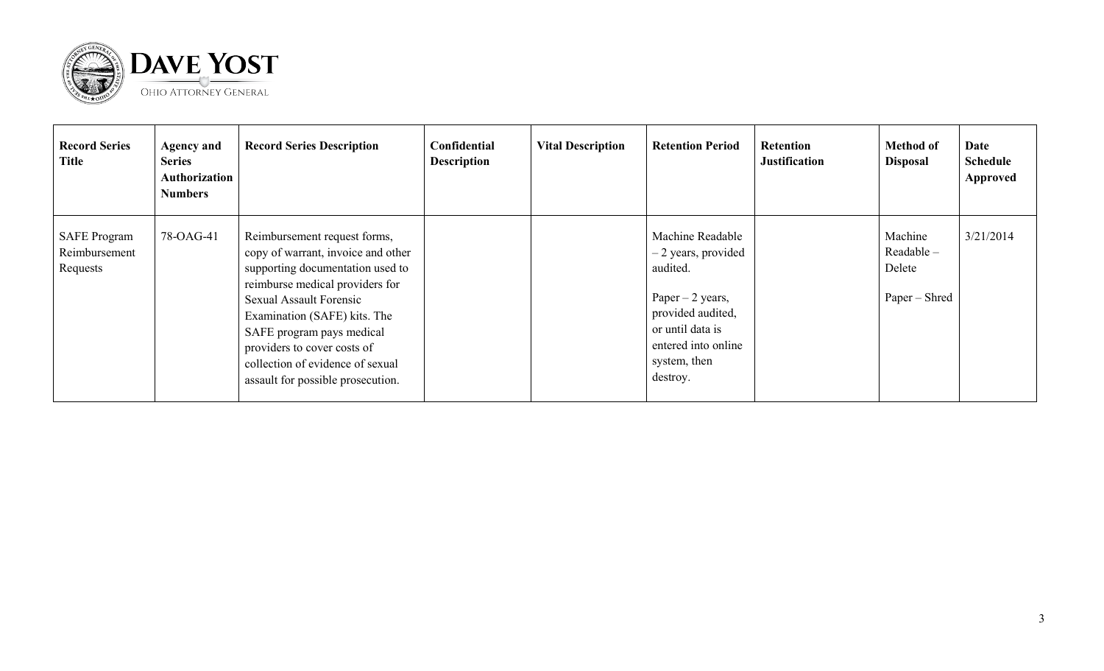

| <b>Record Series</b><br><b>Title</b>             | <b>Agency and</b><br><b>Series</b><br><b>Authorization</b><br><b>Numbers</b> | <b>Record Series Description</b>                                                                                                                                                                                                                                                                                                                 | Confidential<br><b>Description</b> | <b>Vital Description</b> | <b>Retention Period</b>                                                                                                                                               | <b>Retention</b><br><b>Justification</b> | <b>Method of</b><br><b>Disposal</b>                | Date<br><b>Schedule</b><br>Approved |
|--------------------------------------------------|------------------------------------------------------------------------------|--------------------------------------------------------------------------------------------------------------------------------------------------------------------------------------------------------------------------------------------------------------------------------------------------------------------------------------------------|------------------------------------|--------------------------|-----------------------------------------------------------------------------------------------------------------------------------------------------------------------|------------------------------------------|----------------------------------------------------|-------------------------------------|
| <b>SAFE Program</b><br>Reimbursement<br>Requests | 78-OAG-41                                                                    | Reimbursement request forms,<br>copy of warrant, invoice and other<br>supporting documentation used to<br>reimburse medical providers for<br><b>Sexual Assault Forensic</b><br>Examination (SAFE) kits. The<br>SAFE program pays medical<br>providers to cover costs of<br>collection of evidence of sexual<br>assault for possible prosecution. |                                    |                          | Machine Readable<br>$-2$ years, provided<br>audited.<br>Paper $-2$ years,<br>provided audited,<br>or until data is<br>entered into online<br>system, then<br>destroy. |                                          | Machine<br>$Readable -$<br>Delete<br>Paper – Shred | 3/21/2014                           |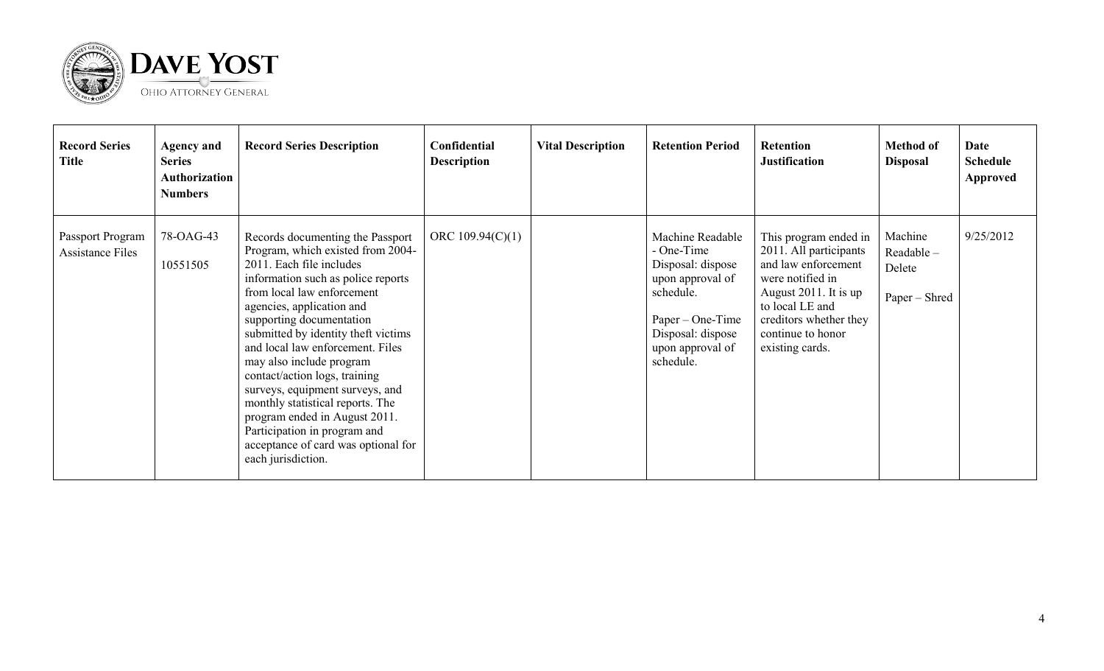

| <b>Record Series</b><br><b>Title</b>        | <b>Agency and</b><br><b>Series</b><br><b>Authorization</b><br><b>Numbers</b> | <b>Record Series Description</b>                                                                                                                                                                                                                                                                                                                                                                                                                                                                                                                                            | Confidential<br><b>Description</b> | <b>Vital Description</b> | <b>Retention Period</b>                                                                                                                                          | <b>Retention</b><br><b>Justification</b>                                                                                                                                                                 | <b>Method of</b><br><b>Disposal</b>             | Date<br><b>Schedule</b><br><b>Approved</b> |
|---------------------------------------------|------------------------------------------------------------------------------|-----------------------------------------------------------------------------------------------------------------------------------------------------------------------------------------------------------------------------------------------------------------------------------------------------------------------------------------------------------------------------------------------------------------------------------------------------------------------------------------------------------------------------------------------------------------------------|------------------------------------|--------------------------|------------------------------------------------------------------------------------------------------------------------------------------------------------------|----------------------------------------------------------------------------------------------------------------------------------------------------------------------------------------------------------|-------------------------------------------------|--------------------------------------------|
| Passport Program<br><b>Assistance Files</b> | 78-OAG-43<br>10551505                                                        | Records documenting the Passport<br>Program, which existed from 2004-<br>2011. Each file includes<br>information such as police reports<br>from local law enforcement<br>agencies, application and<br>supporting documentation<br>submitted by identity theft victims<br>and local law enforcement. Files<br>may also include program<br>contact/action logs, training<br>surveys, equipment surveys, and<br>monthly statistical reports. The<br>program ended in August 2011.<br>Participation in program and<br>acceptance of card was optional for<br>each jurisdiction. | ORC $109.94(C)(1)$                 |                          | Machine Readable<br>- One-Time<br>Disposal: dispose<br>upon approval of<br>schedule.<br>$Paper - One-Time$<br>Disposal: dispose<br>upon approval of<br>schedule. | This program ended in<br>2011. All participants<br>and law enforcement<br>were notified in<br>August 2011. It is up<br>to local LE and<br>creditors whether they<br>continue to honor<br>existing cards. | Machine<br>Readable-<br>Delete<br>Paper – Shred | 9/25/2012                                  |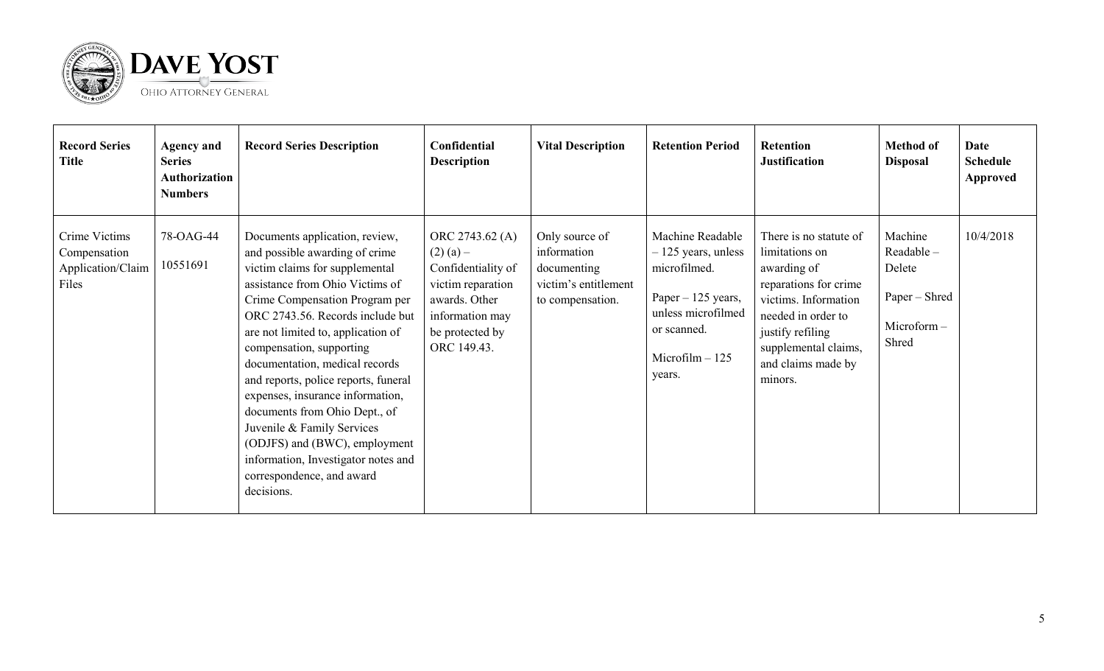

| <b>Record Series</b><br><b>Title</b>                        | <b>Agency and</b><br><b>Series</b><br><b>Authorization</b><br><b>Numbers</b> | <b>Record Series Description</b>                                                                                                                                                                                                                                                                                                                                                                                                                                                                                                                                              | Confidential<br><b>Description</b>                                                                                                              | <b>Vital Description</b>                                                                 | <b>Retention Period</b>                                                                                                                            | <b>Retention</b><br><b>Justification</b>                                                                                                                                                                    | <b>Method of</b><br><b>Disposal</b>                                    | Date<br><b>Schedule</b><br><b>Approved</b> |
|-------------------------------------------------------------|------------------------------------------------------------------------------|-------------------------------------------------------------------------------------------------------------------------------------------------------------------------------------------------------------------------------------------------------------------------------------------------------------------------------------------------------------------------------------------------------------------------------------------------------------------------------------------------------------------------------------------------------------------------------|-------------------------------------------------------------------------------------------------------------------------------------------------|------------------------------------------------------------------------------------------|----------------------------------------------------------------------------------------------------------------------------------------------------|-------------------------------------------------------------------------------------------------------------------------------------------------------------------------------------------------------------|------------------------------------------------------------------------|--------------------------------------------|
| Crime Victims<br>Compensation<br>Application/Claim<br>Files | 78-OAG-44<br>10551691                                                        | Documents application, review,<br>and possible awarding of crime<br>victim claims for supplemental<br>assistance from Ohio Victims of<br>Crime Compensation Program per<br>ORC 2743.56. Records include but<br>are not limited to, application of<br>compensation, supporting<br>documentation, medical records<br>and reports, police reports, funeral<br>expenses, insurance information,<br>documents from Ohio Dept., of<br>Juvenile & Family Services<br>(ODJFS) and (BWC), employment<br>information, Investigator notes and<br>correspondence, and award<br>decisions. | ORC 2743.62 (A)<br>$(2)$ (a) –<br>Confidentiality of<br>victim reparation<br>awards. Other<br>information may<br>be protected by<br>ORC 149.43. | Only source of<br>information<br>documenting<br>victim's entitlement<br>to compensation. | Machine Readable<br>$-125$ years, unless<br>microfilmed.<br>Paper – 125 years,<br>unless microfilmed<br>or scanned.<br>$Microfilm - 125$<br>years. | There is no statute of<br>limitations on<br>awarding of<br>reparations for crime<br>victims. Information<br>needed in order to<br>justify refiling<br>supplemental claims,<br>and claims made by<br>minors. | Machine<br>Readable-<br>Delete<br>Paper – Shred<br>Microform-<br>Shred | 10/4/2018                                  |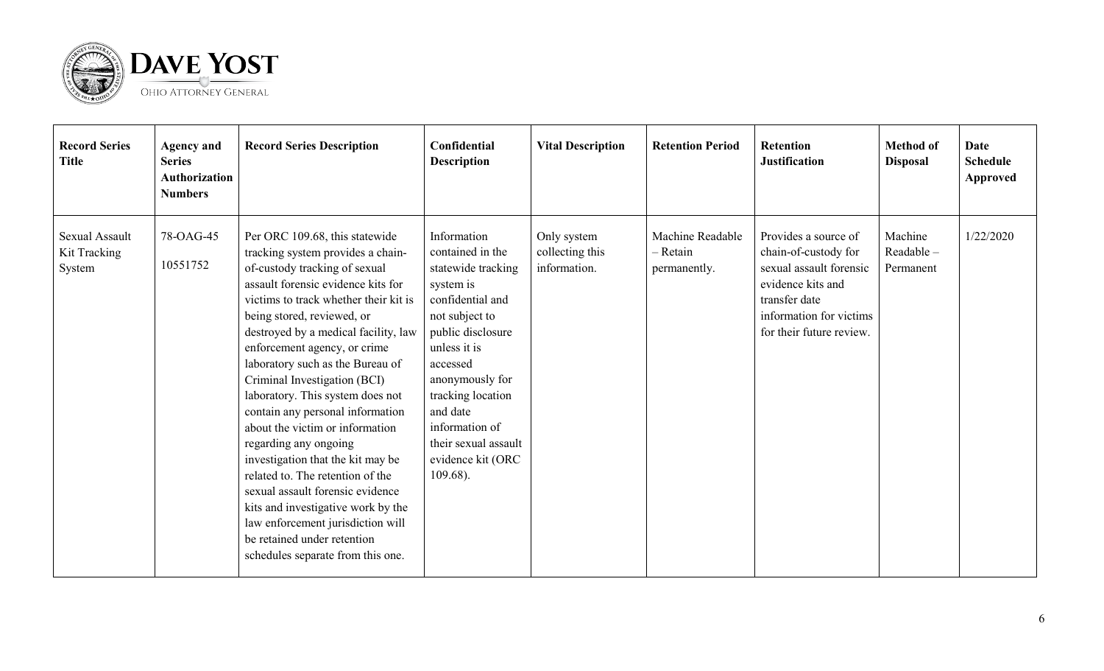

| <b>Record Series</b><br><b>Title</b>     | <b>Agency and</b><br><b>Series</b><br><b>Authorization</b><br><b>Numbers</b> | <b>Record Series Description</b>                                                                                                                                                                                                                                                                                                                                                                                                                                                                                                                                                                                                                                                                                                                              | Confidential<br><b>Description</b>                                                                                                                                                                                                                                                       | <b>Vital Description</b>                       | <b>Retention Period</b>                        | <b>Retention</b><br><b>Justification</b>                                                                                                                             | <b>Method of</b><br><b>Disposal</b> | Date<br><b>Schedule</b><br><b>Approved</b> |
|------------------------------------------|------------------------------------------------------------------------------|---------------------------------------------------------------------------------------------------------------------------------------------------------------------------------------------------------------------------------------------------------------------------------------------------------------------------------------------------------------------------------------------------------------------------------------------------------------------------------------------------------------------------------------------------------------------------------------------------------------------------------------------------------------------------------------------------------------------------------------------------------------|------------------------------------------------------------------------------------------------------------------------------------------------------------------------------------------------------------------------------------------------------------------------------------------|------------------------------------------------|------------------------------------------------|----------------------------------------------------------------------------------------------------------------------------------------------------------------------|-------------------------------------|--------------------------------------------|
| Sexual Assault<br>Kit Tracking<br>System | 78-OAG-45<br>10551752                                                        | Per ORC 109.68, this statewide<br>tracking system provides a chain-<br>of-custody tracking of sexual<br>assault forensic evidence kits for<br>victims to track whether their kit is<br>being stored, reviewed, or<br>destroyed by a medical facility, law<br>enforcement agency, or crime<br>laboratory such as the Bureau of<br>Criminal Investigation (BCI)<br>laboratory. This system does not<br>contain any personal information<br>about the victim or information<br>regarding any ongoing<br>investigation that the kit may be<br>related to. The retention of the<br>sexual assault forensic evidence<br>kits and investigative work by the<br>law enforcement jurisdiction will<br>be retained under retention<br>schedules separate from this one. | Information<br>contained in the<br>statewide tracking<br>system is<br>confidential and<br>not subject to<br>public disclosure<br>unless it is<br>accessed<br>anonymously for<br>tracking location<br>and date<br>information of<br>their sexual assault<br>evidence kit (ORC<br>109.68). | Only system<br>collecting this<br>information. | Machine Readable<br>$-$ Retain<br>permanently. | Provides a source of<br>chain-of-custody for<br>sexual assault forensic<br>evidence kits and<br>transfer date<br>information for victims<br>for their future review. | Machine<br>Readable-<br>Permanent   | 1/22/2020                                  |